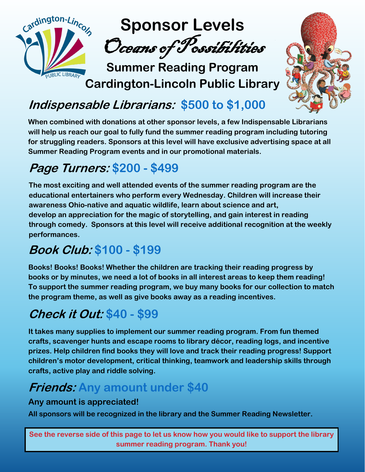



# **Indispensable Librarians: \$500 to \$1,000**

**When combined with donations at other sponsor levels, a few Indispensable Librarians will help us reach our goal to fully fund the summer reading program including tutoring for struggling readers. Sponsors at this level will have exclusive advertising space at all Summer Reading Program events and in our promotional materials.**

### **Page Turners: \$200 - \$499**

**The most exciting and well attended events of the summer reading program are the educational entertainers who perform every Wednesday. Children will increase their awareness Ohio-native and aquatic wildlife, learn about science and art, develop an appreciation for the magic of storytelling, and gain interest in reading through comedy. Sponsors at this level will receive additional recognition at the weekly performances.** 

# **Book Club: \$100 - \$199**

**Books! Books! Books! Whether the children are tracking their reading progress by books or by minutes, we need a lot of books in all interest areas to keep them reading! To support the summer reading program, we buy many books for our collection to match the program theme, as well as give books away as a reading incentives.** 

# **Check it Out: \$40 - \$99**

**It takes many supplies to implement our summer reading program. From fun themed crafts, scavenger hunts and escape rooms to library décor, reading logs, and incentive prizes. Help children find books they will love and track their reading progress! Support children's motor development, critical thinking, teamwork and leadership skills through crafts, active play and riddle solving.** 

# **Friends: Any amount under \$40**

### **Any amount is appreciated!**

**All sponsors will be recognized in the library and the Summer Reading Newsletter.**

**See the reverse side of this page to let us know how you would like to support the library summer reading program. Thank you!**